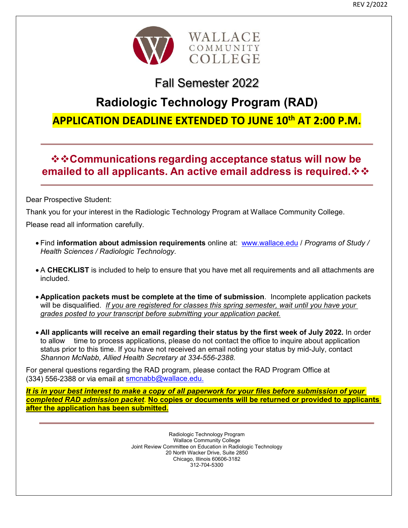

# Fall Semester 2022

# **Radiologic Technology Program (RAD)**

## **APPLICATION DEADLINE EXTENDED TO JUNE 10th AT 2:00 P.M.**

## **☆☆Communications regarding acceptance status will now be emailed to all applicants. An active email address is required.**

Dear Prospective Student:

Thank you for your interest in the Radiologic Technology Program at Wallace Community College.

Please read all information carefully.

- Find **information about admission requirements** online at: www.wallace.edu / *Programs of Study / Health Sciences / Radiologic Technology.*
- A **CHECKLIST** is included to help to ensure that you have met all requirements and all attachments are included.
- **Application packets must be complete at the time of submission**. Incomplete application packets will be disqualified. *If you are registered for classes this spring semester, wait until you have your grades posted to your transcript before submitting your application packet.*
- **All applicants will receive an email regarding their status by the first week of July 2022.** In order to allow time to process applications, please do not contact the office to inquire about application status prior to this time. If you have not received an email noting your status by mid-July, contact *Shannon McNabb, Allied Health Secretary at 334-556-2388.*

For general questions regarding the RAD program, please contact the RAD Program Office at (334) 556-2388 or via email at smcnabb@wallace.edu.

*It is in your best interest to make a copy of all paperwork for your files before submission of your completed RAD admission packet*. **No copies or documents will be returned or provided to applicants after the application has been submitted.** 

> Radiologic Technology Program Wallace Community College Joint Review Committee on Education in Radiologic Technology 20 North Wacker Drive, Suite 2850 Chicago, Illinois 60606-3182 312-704-5300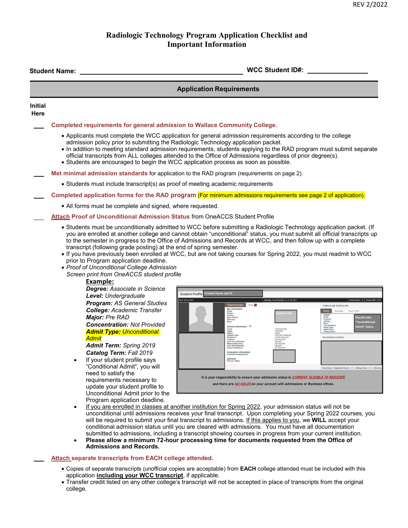### **Radiologic Technology Program Application Checklist and Important Information**

|                        | WCC Student ID#: WCC Student ID#:<br><b>Student Name:</b>                                                                                                                                                                                                                                                                                                                                                                                                                                                                    |  |  |
|------------------------|------------------------------------------------------------------------------------------------------------------------------------------------------------------------------------------------------------------------------------------------------------------------------------------------------------------------------------------------------------------------------------------------------------------------------------------------------------------------------------------------------------------------------|--|--|
|                        | <b>Application Requirements</b>                                                                                                                                                                                                                                                                                                                                                                                                                                                                                              |  |  |
| <b>Initial</b><br>Here |                                                                                                                                                                                                                                                                                                                                                                                                                                                                                                                              |  |  |
|                        | Completed requirements for general admission to Wallace Community College.                                                                                                                                                                                                                                                                                                                                                                                                                                                   |  |  |
|                        | • Applicants must complete the WCC application for general admission requirements according to the college<br>admission policy prior to submitting the Radiologic Technology application packet.<br>• In addition to meeting standard admission requirements, students applying to the RAD program must submit separate<br>official transcripts from ALL colleges attended to the Office of Admissions regardless of prior degree(s).<br>• Students are encouraged to begin the WCC application process as soon as possible. |  |  |
|                        | Met minimal admission standards for application to the RAD program (requirements on page 2).                                                                                                                                                                                                                                                                                                                                                                                                                                 |  |  |
|                        | • Students must include transcript(s) as proof of meeting academic requirements                                                                                                                                                                                                                                                                                                                                                                                                                                              |  |  |
|                        | Completed application forms for the RAD program (For minimum admissions requirements see page 2 of application).                                                                                                                                                                                                                                                                                                                                                                                                             |  |  |
|                        | • All forms must be complete and signed, where requested.                                                                                                                                                                                                                                                                                                                                                                                                                                                                    |  |  |
|                        | <b>Attach Proof of Unconditional Admission Status from OneACCS Student Profile</b>                                                                                                                                                                                                                                                                                                                                                                                                                                           |  |  |
|                        | to the semester in progress to the Office of Admissions and Records at WCC, and then follow up with a complete<br>transcript (following grade posting) at the end of spring semester.<br>. If you have previously been enrolled at WCC, but are not taking courses for Spring 2022, you must readmit to WCC<br>prior to Program application deadline.<br>• Proof of Unconditional College Admission<br>Screen print from OneACCS student profile                                                                             |  |  |
|                        | Example:<br>Degree: Associate in Science                                                                                                                                                                                                                                                                                                                                                                                                                                                                                     |  |  |
|                        | <b>Student Profile Student Name and ID</b><br>Level: Undergraduate<br>mx Spring 2022<br>Standing: Good Standing, as of Fall 202                                                                                                                                                                                                                                                                                                                                                                                              |  |  |
|                        | <b>Program: AS General Studies</b><br>Notes: O<br>CURRICULUM, HOURS & GRI<br><b>Bio Informa</b><br><b>College: Academic Transfer</b><br>Degree:<br>Level:<br>Program<br>College:<br>Major: Pre RAD<br><b>Should state</b><br>Date of Birth<br>Race:<br><b>Concentration: Not Provided</b><br>General Information 0<br>Admit" status.<br>Admit Type:<br>Admit Term:<br><b>Admit Type: Unconditional</b><br>Student Type:<br>First Time Fre<br><b>REGISTERED COURSES</b><br>Admit                                              |  |  |
|                        | <b>First Term Attended</b><br>Fall 2021<br>ulated Term<br><b>Admit Term: Spring 2019</b><br>Fall 2021<br>Not Provided<br><b>Last Term Atte</b>                                                                                                                                                                                                                                                                                                                                                                               |  |  |
|                        | Catalog Term: Fall 2019<br>Graduation Information<br>Advisors<br>If your student profile says<br>"Conditional Admit", you will<br>Total Hours   Registered Hours: 12   Billing Hours: 12   CEU H                                                                                                                                                                                                                                                                                                                             |  |  |
|                        | need to satisfy the<br>It is your responsibility to ensure your admission status is CURRENT, ELIGIBLE TO REGISTER,<br>requirements necessary to<br>and there are <i>NO HOLDS</i> on your account with Admissions or Business offices.<br>update your student profile to<br>Unconditional Admit prior to the                                                                                                                                                                                                                  |  |  |
|                        | Program application deadline.<br>If you are enrolled in classes at another institution for Spring 2022, your admission status will not be<br>$\bullet$<br>unconditional until admissions receives your final transcript. Upon completing your Spring 2022 courses, you<br>will be required to submit your final transcript to admissions. If this applies to you, we WILL accept your                                                                                                                                        |  |  |
|                        | conditional admission status until you are cleared with admissions. You must have all documentation<br>submitted to admissions, including a transcript showing courses in progress from your current institution.<br>Please allow a minimum 72-hour processing time for documents requested from the Office of<br>$\bullet$<br><b>Admissions and Records.</b>                                                                                                                                                                |  |  |
|                        | <b>Attach separate transcripts from EACH college attended.</b>                                                                                                                                                                                                                                                                                                                                                                                                                                                               |  |  |
|                        | • Copies of separate transcripts (unofficial copies are acceptable) from EACH college attended must be included with this                                                                                                                                                                                                                                                                                                                                                                                                    |  |  |

application **including your WCC transcript**, if applicable. Transfer credit listed on any other college's transcript will not be accepted in place of transcripts from the original college.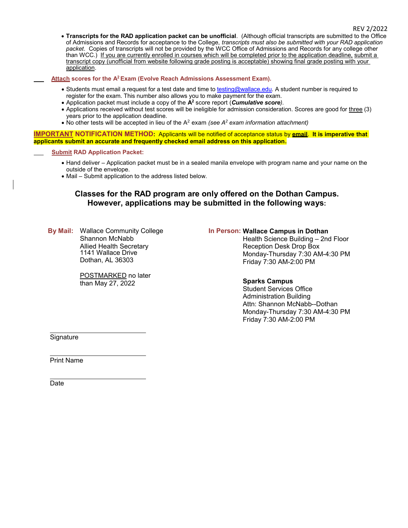**Transcripts for the RAD application packet can be unofficial**. (Although official transcripts are submitted to the Office of Admissions and Records for acceptance to the College, *transcripts must also be submitted with your RAD application packet*. Copies of transcripts will not be provided by the WCC Office of Admissions and Records for any college other than WCC.) If you are currently enrolled in courses which will be completed prior to the application deadline, submit a transcript copy (unofficial from website following grade posting is acceptable) showing final grade posting with your application.

 **Attach scores for the A2 Exam (Evolve Reach Admissions Assessment Exam).** 

- Students must email a request for a test date and time to testing@wallace.edu. A student number is required to register for the exam. This number also allows you to make payment for the exam.
- Application packet must include a copy of the **A2** score report (*Cumulative score)*.
- Applications received without test scores will be ineligible for admission consideration. Scores are good for three (3) years prior to the application deadline.
- $\bullet$  No other tests will be accepted in lieu of the A<sup>2</sup> exam *(see A<sup>2</sup> exam information attachment)*

**IMPORTANT NOTIFICATION METHOD:** Applicants will be notified of acceptance status by **email**. **It is imperative that applicants submit an accurate and frequently checked email address on this application.** 

**Submit RAD Application Packet:** 

- Hand deliver Application packet must be in a sealed manila envelope with program name and your name on the outside of the envelope.
- Mail Submit application to the address listed below.

#### **Classes for the RAD program are only offered on the Dothan Campus. However, applications may be submitted in the following ways:**

**By Mail:** Wallace Community College Shannon McNabb Allied Health Secretary 1141 Wallace Drive Dothan, AL 36303

> POSTMARKED no later than May 27, 2022

#### **In Person: Wallace Campus in Dothan**

 Health Science Building – 2nd Floor Reception Desk Drop Box Monday-Thursday 7:30 AM-4:30 PM Friday 7:30 AM-2:00 PM

#### **Sparks Campus**

 Student Services Office Administration Building Attn: Shannon McNabb--Dothan Monday-Thursday 7:30 AM-4:30 PM Friday 7:30 AM-2:00 PM

**Signature** 

Print Name

**Date**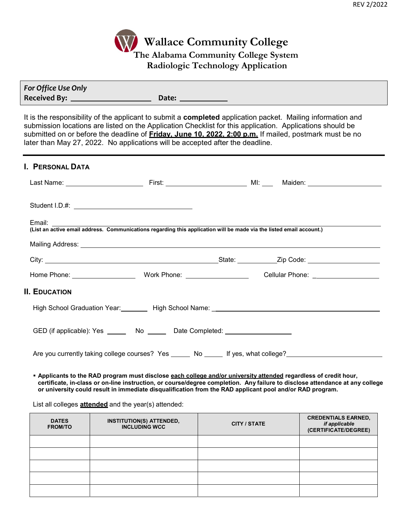

| For Office Use Only |       |
|---------------------|-------|
| <b>Received By:</b> | Date: |

It is the responsibility of the applicant to submit a **completed** application packet. Mailing information and submission locations are listed on the Application Checklist for this application. Applications should be submitted on or before the deadline of **Friday, June 10, 2022, 2:00 p.m.** If mailed, postmark must be no later than May 27, 2022. No applications will be accepted after the deadline.

#### **I. PERSONAL DATA**

| <b>II. EDUCATION</b>                                                                                |  |  |  |
|-----------------------------------------------------------------------------------------------------|--|--|--|
|                                                                                                     |  |  |  |
| GED (if applicable): Yes _______ No ______ Date Completed: _____________________                    |  |  |  |
| Are you currently taking college courses? Yes ______ No _____ If yes, what college?________________ |  |  |  |

 **Applicants to the RAD program must disclose each college and/or university attended regardless of credit hour, certificate, in-class or on-line instruction, or course/degree completion. Any failure to disclose attendance at any college or university could result in immediate disqualification from the RAD applicant pool and/or RAD program.**

#### List all colleges **attended** and the year(s) attended:

| <b>DATES</b><br><b>FROM/TO</b> | <b>INSTITUTION(S) ATTENDED,</b><br><b>INCLUDING WCC</b> | <b>CITY / STATE</b> | <b>CREDENTIALS EARNED,</b><br><i>if applicable</i><br>(CERTIFICATE/DEGREE) |
|--------------------------------|---------------------------------------------------------|---------------------|----------------------------------------------------------------------------|
|                                |                                                         |                     |                                                                            |
|                                |                                                         |                     |                                                                            |
|                                |                                                         |                     |                                                                            |
|                                |                                                         |                     |                                                                            |
|                                |                                                         |                     |                                                                            |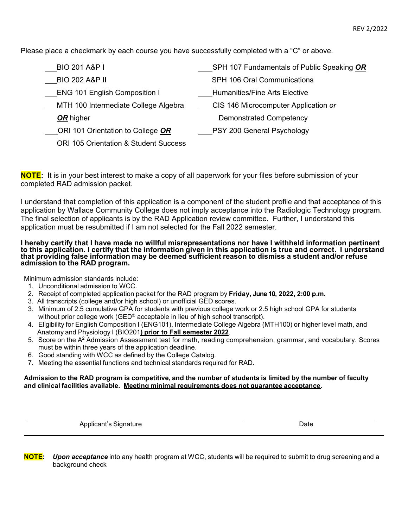Please place a checkmark by each course you have successfully completed with a "C" or above.

| <b>BIO 201 A&amp;P I</b>                         | SPH 107 Fundamentals of Public Speaking OR |
|--------------------------------------------------|--------------------------------------------|
| <b>BIO 202 A&amp;P II</b>                        | <b>SPH 106 Oral Communications</b>         |
| <b>ENG 101 English Composition I</b>             | <b>Humanities/Fine Arts Elective</b>       |
| <b>MTH 100 Intermediate College Algebra</b>      | CIS 146 Microcomputer Application or       |
| OR higher                                        | <b>Demonstrated Competency</b>             |
| ORI 101 Orientation to College OR                | PSY 200 General Psychology                 |
| <b>ORI 105 Orientation &amp; Student Success</b> |                                            |

**NOTE:** It is in your best interest to make a copy of all paperwork for your files before submission of your completed RAD admission packet.

I understand that completion of this application is a component of the student profile and that acceptance of this application by Wallace Community College does not imply acceptance into the Radiologic Technology program. The final selection of applicants is by the RAD Application review committee. Further, I understand this application must be resubmitted if I am not selected for the Fall 2022 semester.

#### **I hereby certify that I have made no willful misrepresentations nor have I withheld information pertinent to this application. I certify that the information given in this application is true and correct. I understand that providing false information may be deemed sufficient reason to dismiss a student and/or refuse admission to the RAD program.**

Minimum admission standards include:

- 1. Unconditional admission to WCC.
- 2. Receipt of completed application packet for the RAD program by **Friday, June 10, 2022, 2:00 p.m.**
- 3. All transcripts (college and/or high school) or unofficial GED scores.
- 3. Minimum of 2.5 cumulative GPA for students with previous college work or 2.5 high school GPA for students without prior college work (GED® acceptable in lieu of high school transcript).
- 4. Eligibility for English Composition I (ENG101), Intermediate College Algebra (MTH100) or higher level math, and Anatomy and Physiology I (BIO201**) prior to Fall semester 2022**.
- 5. Score on the A2 Admission Assessment test for math, reading comprehension, grammar, and vocabulary. Scores must be within three years of the application deadline.
- 6. Good standing with WCC as defined by the College Catalog.
- 7. Meeting the essential functions and technical standards required for RAD.

#### **Admission to the RAD program is competitive, and the number of students is limited by the number of faculty and clinical facilities available. Meeting minimal requirements does not guarantee acceptance**.

Applicant's Signature **Date** Date of **Contract Contract Contract Contract Contract Contract Contract Contract Contract Contract Contract Contract Contract Contract Contract Contract Contract Contract Contract Contract Cont** 

**NOTE:** *Upon acceptance* into any health program at WCC, students will be required to submit to drug screening and a background check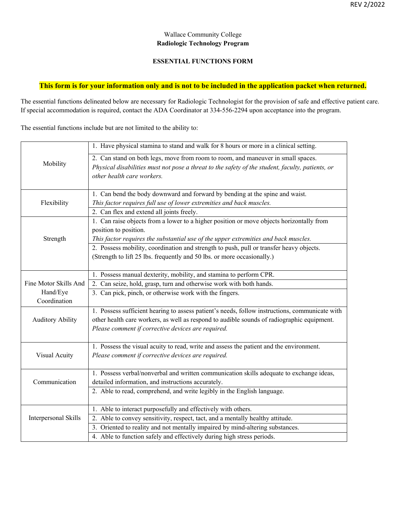#### Wallace Community College **Radiologic Technology Program**

#### **ESSENTIAL FUNCTIONS FORM**

#### **This form is for your information only and is not to be included in the application packet when returned.**

The essential functions delineated below are necessary for Radiologic Technologist for the provision of safe and effective patient care. If special accommodation is required, contact the ADA Coordinator at 334-556-2294 upon acceptance into the program.

The essential functions include but are not limited to the ability to:

|                         | 1. Have physical stamina to stand and walk for 8 hours or more in a clinical setting.            |
|-------------------------|--------------------------------------------------------------------------------------------------|
|                         | 2. Can stand on both legs, move from room to room, and maneuver in small spaces.                 |
| Mobility                | Physical disabilities must not pose a threat to the safety of the student, faculty, patients, or |
|                         | other health care workers.                                                                       |
|                         |                                                                                                  |
|                         | 1. Can bend the body downward and forward by bending at the spine and waist.                     |
| Flexibility             | This factor requires full use of lower extremities and back muscles.                             |
|                         | 2. Can flex and extend all joints freely.                                                        |
|                         | 1. Can raise objects from a lower to a higher position or move objects horizontally from         |
|                         | position to position.                                                                            |
| Strength                | This factor requires the substantial use of the upper extremities and back muscles.              |
|                         | 2. Possess mobility, coordination and strength to push, pull or transfer heavy objects.          |
|                         | (Strength to lift 25 lbs. frequently and 50 lbs. or more occasionally.)                          |
|                         |                                                                                                  |
|                         | 1. Possess manual dexterity, mobility, and stamina to perform CPR.                               |
| Fine Motor Skills And   | 2. Can seize, hold, grasp, turn and otherwise work with both hands.                              |
| Hand/Eye                | 3. Can pick, pinch, or otherwise work with the fingers.                                          |
| Coordination            |                                                                                                  |
|                         | 1. Possess sufficient hearing to assess patient's needs, follow instructions, communicate with   |
| <b>Auditory Ability</b> | other health care workers, as well as respond to audible sounds of radiographic equipment.       |
|                         | Please comment if corrective devices are required.                                               |
|                         |                                                                                                  |
|                         | 1. Possess the visual acuity to read, write and assess the patient and the environment.          |
| Visual Acuity           | Please comment if corrective devices are required.                                               |
|                         |                                                                                                  |
|                         | 1. Possess verbal/nonverbal and written communication skills adequate to exchange ideas,         |
| Communication           | detailed information, and instructions accurately.                                               |
|                         | 2. Able to read, comprehend, and write legibly in the English language.                          |
|                         |                                                                                                  |
|                         | 1. Able to interact purposefully and effectively with others.                                    |
| Interpersonal Skills    | 2. Able to convey sensitivity, respect, tact, and a mentally healthy attitude.                   |
|                         | 3. Oriented to reality and not mentally impaired by mind-altering substances.                    |
|                         | 4. Able to function safely and effectively during high stress periods.                           |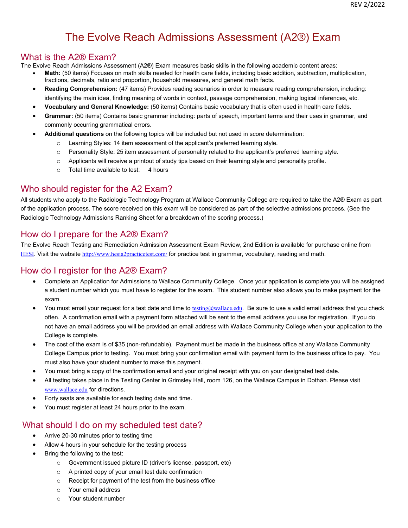# The Evolve Reach Admissions Assessment (A2®) Exam

### What is the A2® Exam?

The Evolve Reach Admissions Assessment (A2®) Exam measures basic skills in the following academic content areas:

- **Math:** (50 items) Focuses on math skills needed for health care fields, including basic addition, subtraction, multiplication, fractions, decimals, ratio and proportion, household measures, and general math facts.
- **Reading Comprehension:** (47 items) Provides reading scenarios in order to measure reading comprehension, including: identifying the main idea, finding meaning of words in context, passage comprehension, making logical inferences, etc.
- **Vocabulary and General Knowledge:** (50 items) Contains basic vocabulary that is often used in health care fields.
- **Grammar:** (50 items) Contains basic grammar including: parts of speech, important terms and their uses in grammar, and commonly occurring grammatical errors.
- **Additional questions** on the following topics will be included but not used in score determination:
	- o Learning Styles: 14 item assessment of the applicant's preferred learning style.
	- o Personality Style: 25 item assessment of personality related to the applicant's preferred learning style.
	- o Applicants will receive a printout of study tips based on their learning style and personality profile.
	- o Total time available to test: 4 hours

## Who should register for the A2 Exam?

All students who apply to the Radiologic Technology Program at Wallace Community College are required to take the A2® Exam as part of the application process. The score received on this exam will be considered as part of the selective admissions process. (See the Radiologic Technology Admissions Ranking Sheet for a breakdown of the scoring process.)

## How do I prepare for the A2® Exam?

The Evolve Reach Testing and Remediation Admission Assessment Exam Review, 2nd Edition is available for purchase online from HESI. Visit the website http://www.hesia2practicetest.com/ for practice test in grammar, vocabulary, reading and math.

## How do I register for the A2® Exam?

- Complete an Application for Admissions to Wallace Community College. Once your application is complete you will be assigned a student number which you must have to register for the exam. This student number also allows you to make payment for the exam.
- You must email your request for a test date and time to testing@wallace.edu. Be sure to use a valid email address that you check often. A confirmation email with a payment form attached will be sent to the email address you use for registration. If you do not have an email address you will be provided an email address with Wallace Community College when your application to the College is complete.
- The cost of the exam is of \$35 (non-refundable). Payment must be made in the business office at any Wallace Community College Campus prior to testing. You must bring your confirmation email with payment form to the business office to pay. You must also have your student number to make this payment.
- You must bring a copy of the confirmation email and your original receipt with you on your designated test date.
- All testing takes place in the Testing Center in Grimsley Hall, room 126, on the Wallace Campus in Dothan. Please visit www.wallace.edu for directions.
- Forty seats are available for each testing date and time.
- You must register at least 24 hours prior to the exam.

## What should I do on my scheduled test date?

- Arrive 20-30 minutes prior to testing time
- Allow 4 hours in your schedule for the testing process
- Bring the following to the test:
	- o Government issued picture ID (driver's license, passport, etc)
	- o A printed copy of your email test date confirmation
	- o Receipt for payment of the test from the business office
	- o Your email address
	- o Your student number